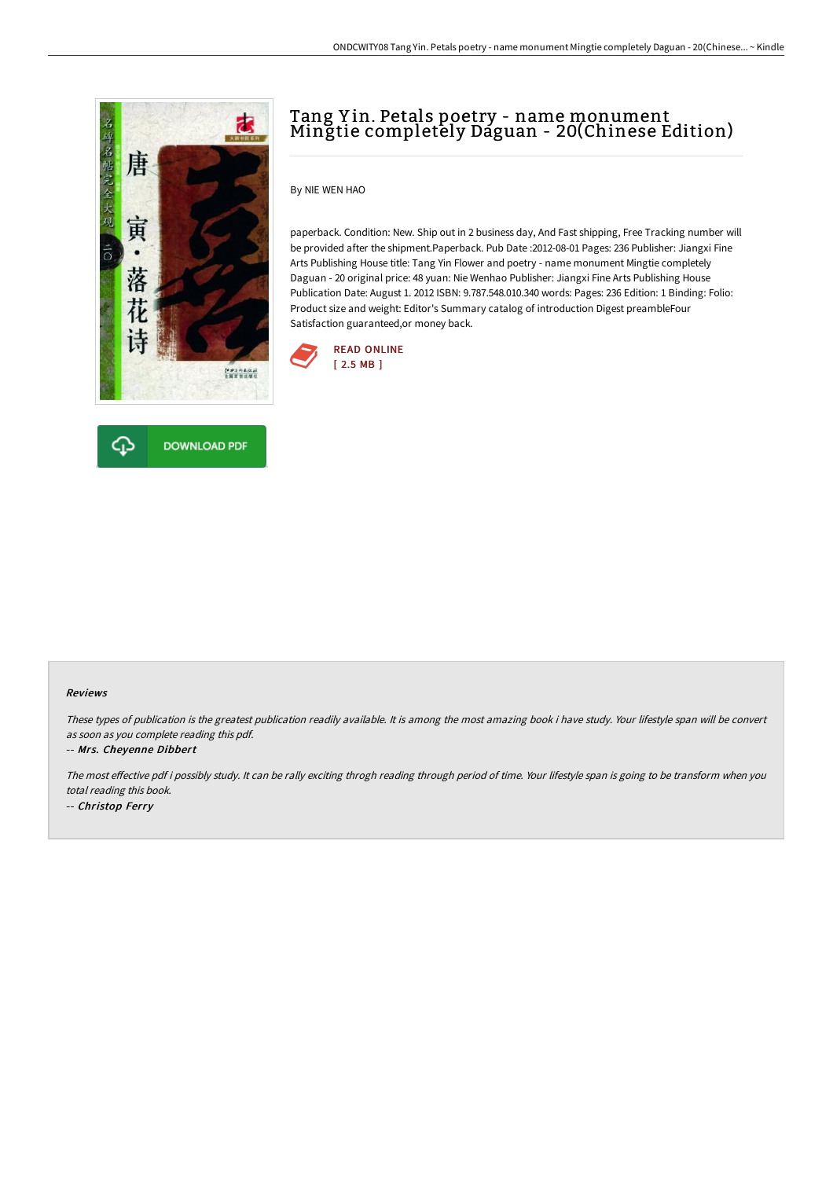



# Tang Y in. Petals poetry - name monument Mingtie completely Daguan - 20(Chinese Edition)

By NIE WEN HAO

paperback. Condition: New. Ship out in 2 business day, And Fast shipping, Free Tracking number will be provided after the shipment.Paperback. Pub Date :2012-08-01 Pages: 236 Publisher: Jiangxi Fine Arts Publishing House title: Tang Yin Flower and poetry - name monument Mingtie completely Daguan - 20 original price: 48 yuan: Nie Wenhao Publisher: Jiangxi Fine Arts Publishing House Publication Date: August 1. 2012 ISBN: 9.787.548.010.340 words: Pages: 236 Edition: 1 Binding: Folio: Product size and weight: Editor's Summary catalog of introduction Digest preambleFour Satisfaction guaranteed,or money back.



#### Reviews

These types of publication is the greatest publication readily available. It is among the most amazing book i have study. Your lifestyle span will be convert as soon as you complete reading this pdf.

#### -- Mrs. Cheyenne Dibbert

The most effective pdf i possibly study. It can be rally exciting throgh reading through period of time. Your lifestyle span is going to be transform when you total reading this book. -- Christop Ferry